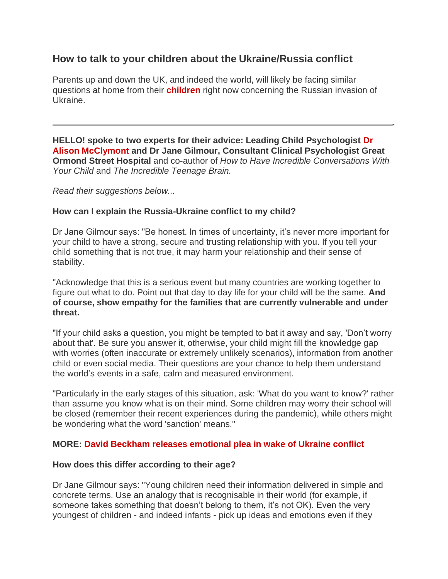# **How to talk to your children about the Ukraine/Russia conflict**

Parents up and down the UK, and indeed the world, will likely be facing similar questions at home from their **children** right now concerning the Russian invasion of Ukraine.

**HELLO! spoke to two experts for their advice: Leading Child Psychologist Dr Alison McClymont and Dr Jane Gilmour, Consultant Clinical Psychologist Great Ormond Street Hospital** and co-author of *How to Have Incredible Conversations With Your Child* and *The Incredible Teenage Brain.* 

*Read their suggestions below...* 

# **How can I explain the Russia-Ukraine conflict to my child?**

Dr Jane Gilmour says: "Be honest. In times of uncertainty, it's never more important for your child to have a strong, secure and trusting relationship with you. If you tell your child something that is not true, it may harm your relationship and their sense of stability.

"Acknowledge that this is a serious event but many countries are working together to figure out what to do. Point out that day to day life for your child will be the same. **And of course, show empathy for the families that are currently vulnerable and under threat.** 

"If your child asks a question, you might be tempted to bat it away and say, 'Don't worry about that'. Be sure you answer it, otherwise, your child might fill the knowledge gap with worries (often inaccurate or extremely unlikely scenarios), information from another child or even social media. Their questions are your chance to help them understand the world's events in a safe, calm and measured environment.

"Particularly in the early stages of this situation, ask: 'What do you want to know?' rather than assume you know what is on their mind. Some children may worry their school will be closed (remember their recent experiences during the pandemic), while others might be wondering what the word 'sanction' means."

# **MORE: David Beckham releases emotional plea in wake of Ukraine conflict**

# **How does this differ according to their age?**

Dr Jane Gilmour says: "Young children need their information delivered in simple and concrete terms. Use an analogy that is recognisable in their world (for example, if someone takes something that doesn't belong to them, it's not OK). Even the very youngest of children - and indeed infants - pick up ideas and emotions even if they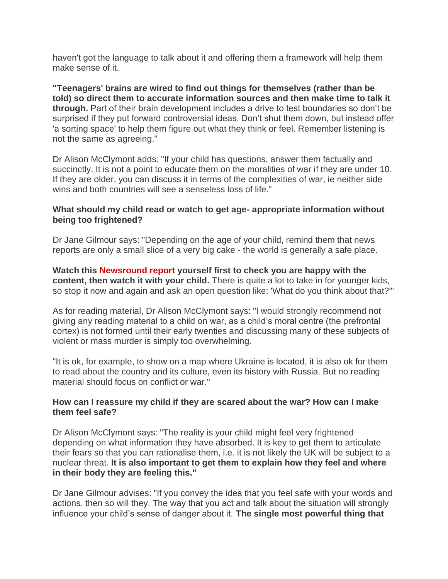haven't got the language to talk about it and offering them a framework will help them make sense of it.

**"Teenagers' brains are wired to find out things for themselves (rather than be told) so direct them to accurate information sources and then make time to talk it through.** Part of their brain development includes a drive to test boundaries so don't be surprised if they put forward controversial ideas. Don't shut them down, but instead offer 'a sorting space' to help them figure out what they think or feel. Remember listening is not the same as agreeing."

Dr Alison McClymont adds: "If your child has questions, answer them factually and succinctly. It is not a point to educate them on the moralities of war if they are under 10. If they are older, you can discuss it in terms of the complexities of war, ie neither side wins and both countries will see a senseless loss of life."

#### **What should my child read or watch to get age- appropriate information without being too frightened?**

Dr Jane Gilmour says: "Depending on the age of your child, remind them that news reports are only a small slice of a very big cake - the world is generally a safe place.

**Watch this Newsround report yourself first to check you are happy with the content, then watch it with your child.** There is quite a lot to take in for younger kids, so stop it now and again and ask an open question like: 'What do you think about that?'"

As for reading material, Dr Alison McClymont says: "I would strongly recommend not giving any reading material to a child on war, as a child's moral centre (the prefrontal cortex) is not formed until their early twenties and discussing many of these subjects of violent or mass murder is simply too overwhelming.

"It is ok, for example, to show on a map where Ukraine is located, it is also ok for them to read about the country and its culture, even its history with Russia. But no reading material should focus on conflict or war."

# **How can I reassure my child if they are scared about the war? How can I make them feel safe?**

Dr Alison McClymont says: "The reality is your child might feel very frightened depending on what information they have absorbed. It is key to get them to articulate their fears so that you can rationalise them, i.e. it is not likely the UK will be subject to a nuclear threat. **It is also important to get them to explain how they feel and where in their body they are feeling this."** 

Dr Jane Gilmour advises: "If you convey the idea that you feel safe with your words and actions, then so will they. The way that you act and talk about the situation will strongly influence your child's sense of danger about it. **The single most powerful thing that**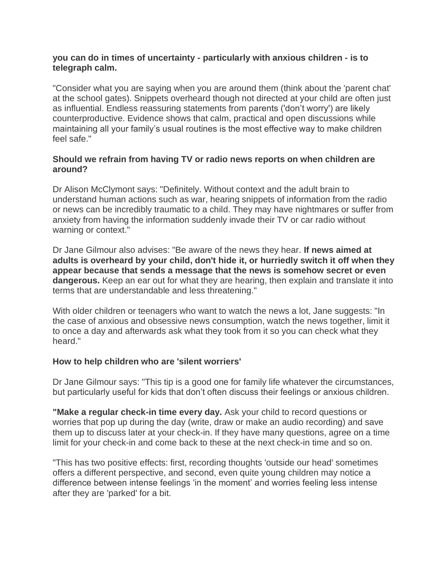# **you can do in times of uncertainty - particularly with anxious children - is to telegraph calm.**

"Consider what you are saying when you are around them (think about the 'parent chat' at the school gates). Snippets overheard though not directed at your child are often just as influential. Endless reassuring statements from parents ('don't worry') are likely counterproductive. Evidence shows that calm, practical and open discussions while maintaining all your family's usual routines is the most effective way to make children feel safe."

#### **Should we refrain from having TV or radio news reports on when children are around?**

Dr Alison McClymont says: "Definitely. Without context and the adult brain to understand human actions such as war, hearing snippets of information from the radio or news can be incredibly traumatic to a child. They may have nightmares or suffer from anxiety from having the information suddenly invade their TV or car radio without warning or context."

Dr Jane Gilmour also advises: "Be aware of the news they hear. **If news aimed at adults is overheard by your child, don't hide it, or hurriedly switch it off when they appear because that sends a message that the news is somehow secret or even dangerous.** Keep an ear out for what they are hearing, then explain and translate it into terms that are understandable and less threatening."

With older children or teenagers who want to watch the news a lot, Jane suggests: "In the case of anxious and obsessive news consumption, watch the news together, limit it to once a day and afterwards ask what they took from it so you can check what they heard."

#### **How to help children who are 'silent worriers'**

Dr Jane Gilmour says: "This tip is a good one for family life whatever the circumstances, but particularly useful for kids that don't often discuss their feelings or anxious children.

**"Make a regular check-in time every day.** Ask your child to record questions or worries that pop up during the day (write, draw or make an audio recording) and save them up to discuss later at your check-in. If they have many questions, agree on a time limit for your check-in and come back to these at the next check-in time and so on.

"This has two positive effects: first, recording thoughts 'outside our head' sometimes offers a different perspective, and second, even quite young children may notice a difference between intense feelings 'in the moment' and worries feeling less intense after they are 'parked' for a bit.